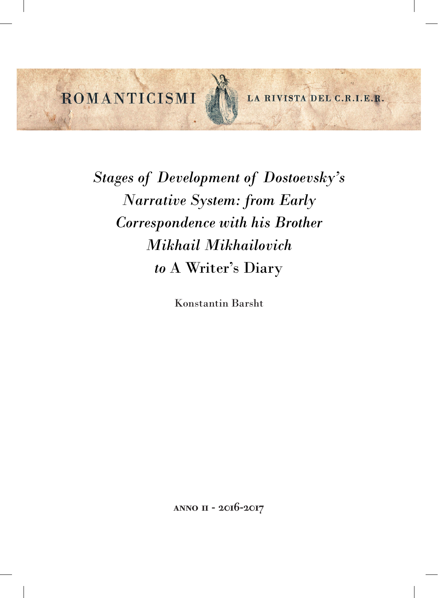ROMANTICISMI

LA RIVISTA DEL C.R.I.E.R.

*Stages of Development of Dostoevsky's Narrative System: from Early Correspondence with his Brother Mikhail Mikhailovich to* A Writer's Diary

Konstantin Barsht

anno ii - 2016-2017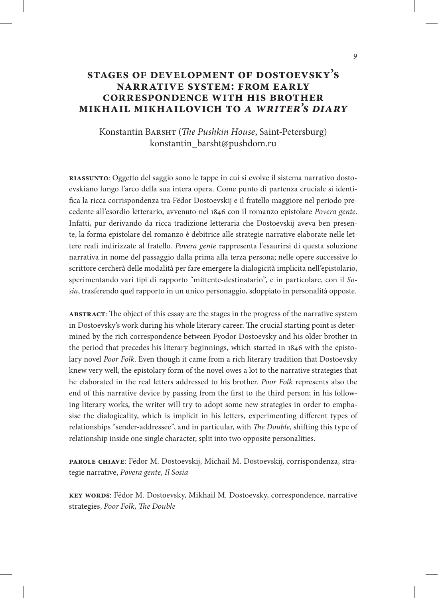## **stages of development of dostoevsky's narrative system: from early correspondence with his brother mikhail mikhailovich to** *a writer's diary*

### Konstantin Barsht (*The Pushkin House*, Saint-Petersburg) konstantin\_barsht@pushdom.ru

**riassunto**: Oggetto del saggio sono le tappe in cui si evolve il sistema narrativo dostoevskiano lungo l'arco della sua intera opera. Come punto di partenza cruciale si identifica la ricca corrispondenza tra Fëdor Dostoevskij e il fratello maggiore nel periodo precedente all'esordio letterario, avvenuto nel 1846 con il romanzo epistolare *Povera gente*. Infatti, pur derivando da ricca tradizione letteraria che Dostoevskij aveva ben presente, la forma epistolare del romanzo è debitrice alle strategie narrative elaborate nelle lettere reali indirizzate al fratello. *Povera gente* rappresenta l'esaurirsi di questa soluzione narrativa in nome del passaggio dalla prima alla terza persona; nelle opere successive lo scrittore cercherà delle modalità per fare emergere la dialogicità implicita nell'epistolario, sperimentando vari tipi di rapporto "mittente-destinatario", e in particolare, con il *Sosia*, trasferendo quel rapporto in un unico personaggio, sdoppiato in personalità opposte.

**abstract**: The object of this essay are the stages in the progress of the narrative system in Dostoevsky's work during his whole literary career. The crucial starting point is determined by the rich correspondence between Fyodor Dostoevsky and his older brother in the period that precedes his literary beginnings, which started in 1846 with the epistolary novel *Poor Folk*. Even though it came from a rich literary tradition that Dostoevsky knew very well, the epistolary form of the novel owes a lot to the narrative strategies that he elaborated in the real letters addressed to his brother. *Poor Folk* represents also the end of this narrative device by passing from the first to the third person; in his following literary works, the writer will try to adopt some new strategies in order to emphasise the dialogicality, which is implicit in his letters, experimenting different types of relationships "sender-addressee", and in particular, with *The Double*, shifting this type of relationship inside one single character, split into two opposite personalities.

**parole chiave**: Fëdor M. Dostoevskij, Michail M. Dostoevskij, corrispondenza, strategie narrative, *Povera gente, Il Sosia* 

**key words**: Fëdor M. Dostoevsky, Mikhail M. Dostoevsky, correspondence, narrative strategies, *Poor Folk, The Double*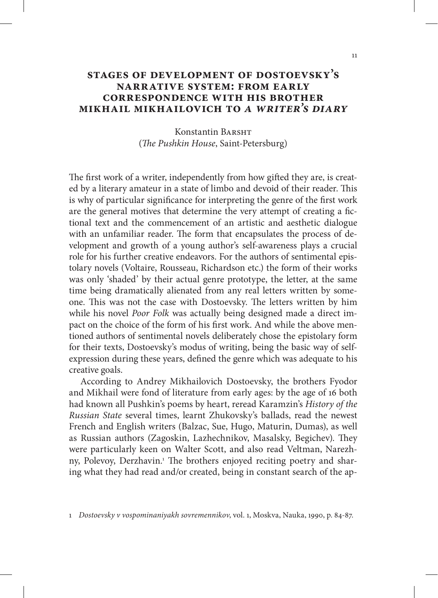# **stages of development of dostoevsky's narrative system: from early correspondence with his brother mikhail mikhailovich to** *a writer's diary*

Konstantin BARSHT (*The Pushkin House*, Saint-Petersburg)

The first work of a writer, independently from how gifted they are, is created by a literary amateur in a state of limbo and devoid of their reader. This is why of particular significance for interpreting the genre of the first work are the general motives that determine the very attempt of creating a fictional text and the commencement of an artistic and aesthetic dialogue with an unfamiliar reader. The form that encapsulates the process of development and growth of a young author's self-awareness plays a crucial role for his further creative endeavors. For the authors of sentimental epistolary novels (Voltaire, Rousseau, Richardson etc.) the form of their works was only 'shaded' by their actual genre prototype, the letter, at the same time being dramatically alienated from any real letters written by someone. This was not the case with Dostoevsky. The letters written by him while his novel *Poor Folk* was actually being designed made a direct impact on the choice of the form of his first work. And while the above mentioned authors of sentimental novels deliberately chose the epistolary form for their texts, Dostoevsky's modus of writing, being the basic way of selfexpression during these years, defined the genre which was adequate to his creative goals.

According to Andrey Mikhailovich Dostoevsky, the brothers Fyodor and Mikhail were fond of literature from early ages: by the age of 16 both had known all Pushkin's poems by heart, reread Karamzin's *History of the Russian State* several times, learnt Zhukovsky's ballads, read the newest French and English writers (Balzac, Sue, Hugo, Maturin, Dumas), as well as Russian authors (Zagoskin, Lazhechnikov, Masalsky, Begichev). They were particularly keen on Walter Scott, and also read Veltman, Narezhny, Polevoy, Derzhavin.<sup>1</sup> The brothers enjoyed reciting poetry and sharing what they had read and/or created, being in constant search of the ap-

1 *Dostoevsky v vospominaniyakh sovremennikov*, vol. 1, Moskva, Nauka, 1990, p. 84-87.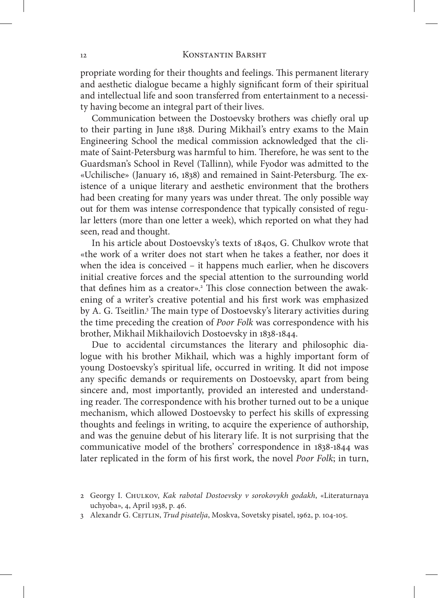#### 12 Konstantin Barsht

propriate wording for their thoughts and feelings. This permanent literary and aesthetic dialogue became a highly significant form of their spiritual and intellectual life and soon transferred from entertainment to a necessity having become an integral part of their lives.

Communication between the Dostoevsky brothers was chiefly oral up to their parting in June 1838. During Mikhail's entry exams to the Main Engineering School the medical commission acknowledged that the climate of Saint-Petersburg was harmful to him. Therefore, he was sent to the Guardsman's School in Revel (Tallinn), while Fyodor was admitted to the «Uchilische» (January 16, 1838) and remained in Saint-Petersburg. The existence of a unique literary and aesthetic environment that the brothers had been creating for many years was under threat. The only possible way out for them was intense correspondence that typically consisted of regular letters (more than one letter a week), which reported on what they had seen, read and thought.

In his article about Dostoevsky's texts of 1840s, G. Chulkov wrote that «the work of a writer does not start when he takes a feather, nor does it when the idea is conceived – it happens much earlier, when he discovers initial creative forces and the special attention to the surrounding world that defines him as a creator».<sup>2</sup> This close connection between the awakening of a writer's creative potential and his first work was emphasized by A. G. Tseitlin.<sup>3</sup> The main type of Dostoevsky's literary activities during the time preceding the creation of *Poor Folk* was correspondence with his brother, Mikhail Mikhailovich Dostoevsky in 1838-1844.

Due to accidental circumstances the literary and philosophic dialogue with his brother Mikhail, which was a highly important form of young Dostoevsky's spiritual life, occurred in writing. It did not impose any specific demands or requirements on Dostoevsky, apart from being sincere and, most importantly, provided an interested and understanding reader. The correspondence with his brother turned out to be a unique mechanism, which allowed Dostoevsky to perfect his skills of expressing thoughts and feelings in writing, to acquire the experience of authorship, and was the genuine debut of his literary life. It is not surprising that the communicative model of the brothers' correspondence in 1838-1844 was later replicated in the form of his first work, the novel *Poor Folk*; in turn,

<sup>2</sup> Georgy I. Chulkov, *Kak rabotal Dostoevsky v sorokovykh godakh*, «Literaturnaya uchyoba», 4, April 1938, p. 46.

<sup>3</sup> Alexandr G. Cejtlin, *Trud pisatelja*, Moskva, Sovetsky pisatel, 1962, p. 104-105.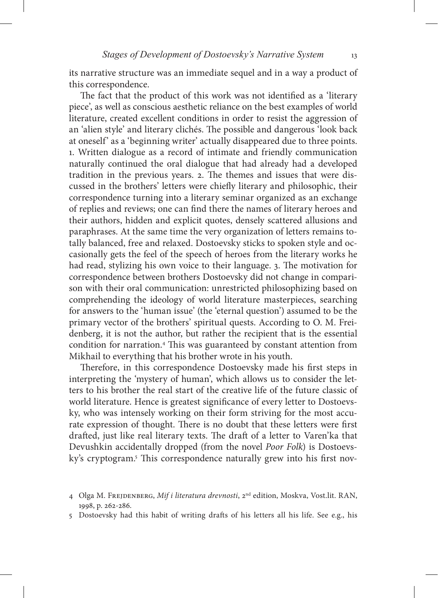its narrative structure was an immediate sequel and in a way a product of this correspondence.

The fact that the product of this work was not identified as a 'literary piece', as well as conscious aesthetic reliance on the best examples of world literature, created excellent conditions in order to resist the aggression of an 'alien style' and literary clichés. The possible and dangerous 'look back at oneself' as a 'beginning writer' actually disappeared due to three points. 1. Written dialogue as a record of intimate and friendly communication naturally continued the oral dialogue that had already had a developed tradition in the previous years. 2. The themes and issues that were discussed in the brothers' letters were chiefly literary and philosophic, their correspondence turning into a literary seminar organized as an exchange of replies and reviews; one can find there the names of literary heroes and their authors, hidden and explicit quotes, densely scattered allusions and paraphrases. At the same time the very organization of letters remains totally balanced, free and relaxed. Dostoevsky sticks to spoken style and occasionally gets the feel of the speech of heroes from the literary works he had read, stylizing his own voice to their language. 3. The motivation for correspondence between brothers Dostoevsky did not change in comparison with their oral communication: unrestricted philosophizing based on comprehending the ideology of world literature masterpieces, searching for answers to the 'human issue' (the 'eternal question') assumed to be the primary vector of the brothers' spiritual quests. According to O. M. Freidenberg, it is not the author, but rather the recipient that is the essential condition for narration.4 This was guaranteed by constant attention from Mikhail to everything that his brother wrote in his youth.

Therefore, in this correspondence Dostoevsky made his first steps in interpreting the 'mystery of human', which allows us to consider the letters to his brother the real start of the creative life of the future classic of world literature. Hence is greatest significance of every letter to Dostoevsky, who was intensely working on their form striving for the most accurate expression of thought. There is no doubt that these letters were first drafted, just like real literary texts. The draft of a letter to Varen'ka that Devushkin accidentally dropped (from the novel *Poor Folk*) is Dostoevsky's cryptogram.5 This correspondence naturally grew into his first nov-

<sup>4</sup> Olga M. Frejdenberg, *Mif i literatura drevnosti*, 2nd edition, Moskva, Vost.lit. RAN, 1998, p. 262-286.

<sup>5</sup> Dostoevsky had this habit of writing drafts of his letters all his life. See e.g., his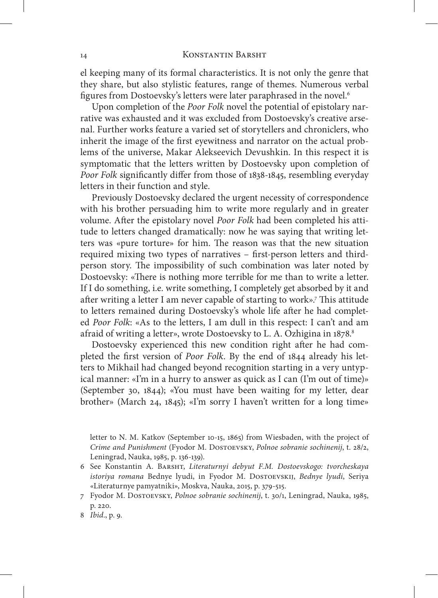#### 14 KONSTANTIN BARSHT

el keeping many of its formal characteristics. It is not only the genre that they share, but also stylistic features, range of themes. Numerous verbal figures from Dostoevsky's letters were later paraphrased in the novel.6

Upon completion of the *Poor Folk* novel the potential of epistolary narrative was exhausted and it was excluded from Dostoevsky's creative arsenal. Further works feature a varied set of storytellers and chroniclers, who inherit the image of the first eyewitness and narrator on the actual problems of the universe, Makar Alekseevich Devushkin. In this respect it is symptomatic that the letters written by Dostoevsky upon completion of *Poor Folk* significantly differ from those of 1838-1845, resembling everyday letters in their function and style.

Previously Dostoevsky declared the urgent necessity of correspondence with his brother persuading him to write more regularly and in greater volume. After the epistolary novel *Poor Folk* had been completed his attitude to letters changed dramatically: now he was saying that writing letters was «pure torture» for him. The reason was that the new situation required mixing two types of narratives – first-person letters and thirdperson story. The impossibility of such combination was later noted by Dostoevsky: «There is nothing more terrible for me than to write a letter. If I do something, i.e. write something, I completely get absorbed by it and after writing a letter I am never capable of starting to work».7 This attitude to letters remained during Dostoevsky's whole life after he had completed *Poor Folk*: «As to the letters, I am dull in this respect: I can't and am afraid of writing a letter», wrote Dostoevsky to L. A. Ozhigina in 1878.<sup>8</sup>

Dostoevsky experienced this new condition right after he had completed the first version of *Poor Folk*. By the end of 1844 already his letters to Mikhail had changed beyond recognition starting in a very untypical manner: «I'm in a hurry to answer as quick as I can (I'm out of time)» (September 30, 1844); «You must have been waiting for my letter, dear brother» (March 24, 1845); «I'm sorry I haven't written for a long time»

letter to N. M. Katkov (September 10-15, 1865) from Wiesbaden, with the project of *Crime and Punishment* (Fyodor M. Dostoevsky, *Polnoe sobranie sochinenij*, t. 28/2, Leningrad, Nauka, 1985, p. 136-139).

<sup>6</sup> See Konstantin A. Barsht, *Literaturnyi debyut F.M. Dostoevskogo: tvorcheskaya istoriya romana* Bednye lyudi, in Fyodor M. Dostoevskij, *Bednye lyudi*, Seriya «Literaturnye pamyatniki», Moskva, Nauka, 2015, p. 379-515.

<sup>7</sup> Fyodor M. Dostoevsky, *Polnoe sobranie sochinenij*, t. 30/1, Leningrad, Nauka, 1985, p. 220.

<sup>8</sup> *Ibid*., p. 9.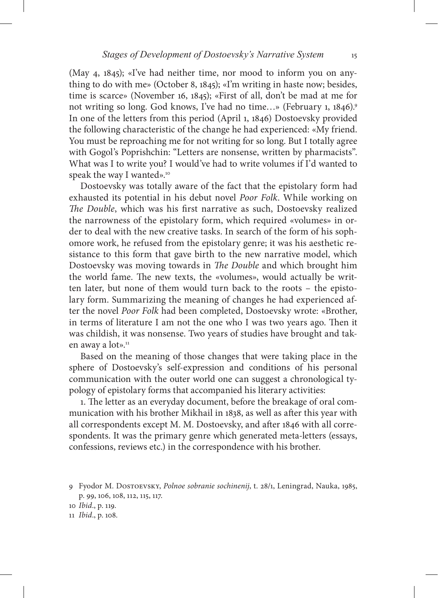(May 4, 1845); «I've had neither time, nor mood to inform you on anything to do with me» (October 8, 1845); «I'm writing in haste now; besides, time is scarce» (November 16, 1845); «First of all, don't be mad at me for not writing so long. God knows, I've had no time...» (February 1, 1846).<sup>9</sup> In one of the letters from this period (April 1, 1846) Dostoevsky provided the following characteristic of the change he had experienced: «My friend. You must be reproaching me for not writing for so long. But I totally agree with Gogol's Poprishchin: "Letters are nonsense, written by pharmacists". What was I to write you? I would've had to write volumes if I'd wanted to speak the way I wanted».<sup>10</sup>

Dostoevsky was totally aware of the fact that the epistolary form had exhausted its potential in his debut novel *Poor Folk*. While working on *The Double*, which was his first narrative as such, Dostoevsky realized the narrowness of the epistolary form, which required «volumes» in order to deal with the new creative tasks. In search of the form of his sophomore work, he refused from the epistolary genre; it was his aesthetic resistance to this form that gave birth to the new narrative model, which Dostoevsky was moving towards in *The Double* and which brought him the world fame. The new texts, the «volumes», would actually be written later, but none of them would turn back to the roots – the epistolary form. Summarizing the meaning of changes he had experienced after the novel *Poor Folk* had been completed, Dostoevsky wrote: «Brother, in terms of literature I am not the one who I was two years ago. Then it was childish, it was nonsense. Two years of studies have brought and taken away a lot».<sup>11</sup>

Based on the meaning of those changes that were taking place in the sphere of Dostoevsky's self-expression and conditions of his personal communication with the outer world one can suggest a chronological typology of epistolary forms that accompanied his literary activities:

1. The letter as an everyday document, before the breakage of oral communication with his brother Mikhail in 1838, as well as after this year with all correspondents except M. M. Dostoevsky, and after 1846 with all correspondents. It was the primary genre which generated meta-letters (essays, confessions, reviews etc.) in the correspondence with his brother.

<sup>9</sup> Fyodor M. Dostoevsky, *Polnoe sobranie sochinenij*, t. 28/1, Leningrad, Nauka, 1985, p. 99, 106, 108, 112, 115, 117.

<sup>10</sup> *Ibid*., p. 119.

<sup>11</sup> *Ibid*., p. 108.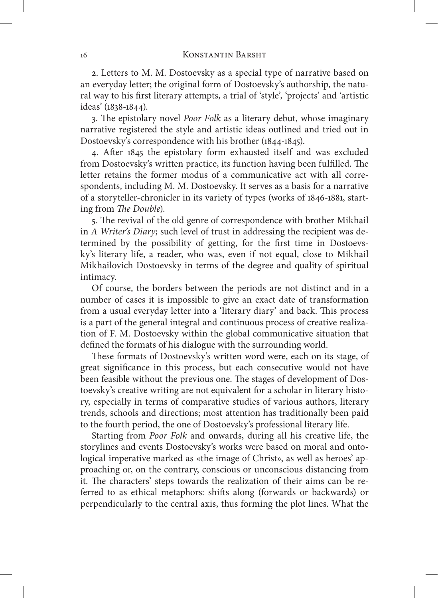#### 16 KONSTANTIN BARSHT

2. Letters to M. M. Dostoevsky as a special type of narrative based on an everyday letter; the original form of Dostoevsky's authorship, the natural way to his first literary attempts, a trial of 'style', 'projects' and 'artistic ideas' (1838-1844).

3. The epistolary novel *Poor Folk* as a literary debut, whose imaginary narrative registered the style and artistic ideas outlined and tried out in Dostoevsky's correspondence with his brother (1844-1845).

4. After 1845 the epistolary form exhausted itself and was excluded from Dostoevsky's written practice, its function having been fulfilled. The letter retains the former modus of a communicative act with all correspondents, including M. M. Dostoevsky. It serves as a basis for a narrative of a storyteller-chronicler in its variety of types (works of 1846-1881, starting from *The Double*).

5. The revival of the old genre of correspondence with brother Mikhail in *A Writer's Diary*; such level of trust in addressing the recipient was determined by the possibility of getting, for the first time in Dostoevsky's literary life, a reader, who was, even if not equal, close to Mikhail Mikhailovich Dostoevsky in terms of the degree and quality of spiritual intimacy.

Of course, the borders between the periods are not distinct and in a number of cases it is impossible to give an exact date of transformation from a usual everyday letter into a 'literary diary' and back. This process is a part of the general integral and continuous process of creative realization of F. M. Dostoevsky within the global communicative situation that defined the formats of his dialogue with the surrounding world.

These formats of Dostoevsky's written word were, each on its stage, of great significance in this process, but each consecutive would not have been feasible without the previous one. The stages of development of Dostoevsky's creative writing are not equivalent for a scholar in literary history, especially in terms of comparative studies of various authors, literary trends, schools and directions; most attention has traditionally been paid to the fourth period, the one of Dostoevsky's professional literary life.

Starting from *Poor Folk* and onwards, during all his creative life, the storylines and events Dostoevsky's works were based on moral and ontological imperative marked as «the image of Christ», as well as heroes' approaching or, on the contrary, conscious or unconscious distancing from it. The characters' steps towards the realization of their aims can be referred to as ethical metaphors: shifts along (forwards or backwards) or perpendicularly to the central axis, thus forming the plot lines. What the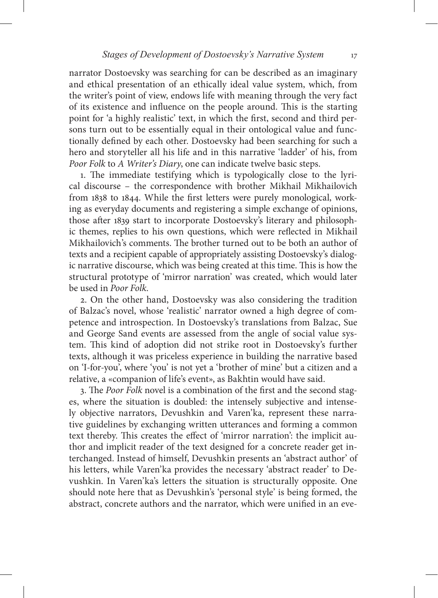narrator Dostoevsky was searching for can be described as an imaginary and ethical presentation of an ethically ideal value system, which, from the writer's point of view, endows life with meaning through the very fact of its existence and influence on the people around. This is the starting point for 'a highly realistic' text, in which the first, second and third persons turn out to be essentially equal in their ontological value and functionally defined by each other. Dostoevsky had been searching for such a hero and storyteller all his life and in this narrative 'ladder' of his, from *Poor Folk* to *A Writer's Diary*, one can indicate twelve basic steps.

1. The immediate testifying which is typologically close to the lyrical discourse – the correspondence with brother Mikhail Mikhailovich from 1838 to 1844. While the first letters were purely monological, working as everyday documents and registering a simple exchange of opinions, those after 1839 start to incorporate Dostoevsky's literary and philosophic themes, replies to his own questions, which were reflected in Mikhail Mikhailovich's comments. The brother turned out to be both an author of texts and a recipient capable of appropriately assisting Dostoevsky's dialogic narrative discourse, which was being created at this time. This is how the structural prototype of 'mirror narration' was created, which would later be used in *Poor Folk*.

2. On the other hand, Dostoevsky was also considering the tradition of Balzac's novel, whose 'realistic' narrator owned a high degree of competence and introspection. In Dostoevsky's translations from Balzac, Sue and George Sand events are assessed from the angle of social value system. This kind of adoption did not strike root in Dostoevsky's further texts, although it was priceless experience in building the narrative based on 'I-for-you', where 'you' is not yet a 'brother of mine' but a citizen and a relative, a «companion of life's event», as Bakhtin would have said.

3. The *Poor Folk* novel is a combination of the first and the second stages, where the situation is doubled: the intensely subjective and intensely objective narrators, Devushkin and Varen'ka, represent these narrative guidelines by exchanging written utterances and forming a common text thereby. This creates the effect of 'mirror narration': the implicit author and implicit reader of the text designed for a concrete reader get interchanged. Instead of himself, Devushkin presents an 'abstract author' of his letters, while Varen'ka provides the necessary 'abstract reader' to Devushkin. In Varen'ka's letters the situation is structurally opposite. One should note here that as Devushkin's 'personal style' is being formed, the abstract, concrete authors and the narrator, which were unified in an eve-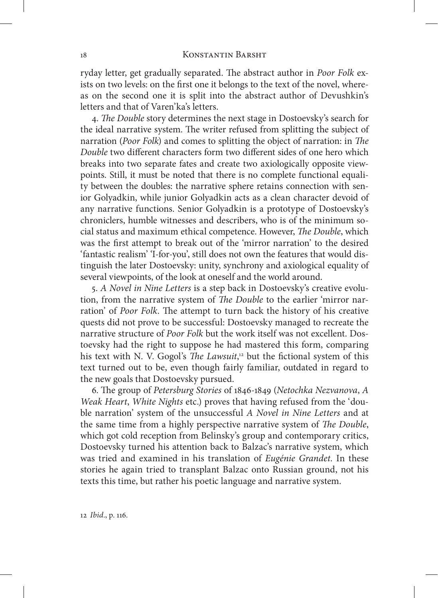#### 18 KONSTANTIN BARSHT

ryday letter, get gradually separated. The abstract author in *Poor Folk* exists on two levels: on the first one it belongs to the text of the novel, whereas on the second one it is split into the abstract author of Devushkin's letters and that of Varen'ka's letters.

4. *The Double* story determines the next stage in Dostoevsky's search for the ideal narrative system. The writer refused from splitting the subject of narration (*Poor Folk*) and comes to splitting the object of narration: in *The Double* two different characters form two different sides of one hero which breaks into two separate fates and create two axiologically opposite viewpoints. Still, it must be noted that there is no complete functional equality between the doubles: the narrative sphere retains connection with senior Golyadkin, while junior Golyadkin acts as a clean character devoid of any narrative functions. Senior Golyadkin is a prototype of Dostoevsky's chroniclers, humble witnesses and describers, who is of the minimum social status and maximum ethical competence. However, *The Double*, which was the first attempt to break out of the 'mirror narration' to the desired 'fantastic realism' 'I-for-you', still does not own the features that would distinguish the later Dostoevsky: unity, synchrony and axiological equality of several viewpoints, of the look at oneself and the world around.

5. *A Novel in Nine Letters* is a step back in Dostoevsky's creative evolution, from the narrative system of *The Double* to the earlier 'mirror narration' of *Poor Folk*. The attempt to turn back the history of his creative quests did not prove to be successful: Dostoevsky managed to recreate the narrative structure of *Poor Folk* but the work itself was not excellent. Dostoevsky had the right to suppose he had mastered this form, comparing his text with N. V. Gogol's *The Lawsuit*, 12 but the fictional system of this text turned out to be, even though fairly familiar, outdated in regard to the new goals that Dostoevsky pursued.

6. The group of *Petersburg Stories* of 1846-1849 (*Netochka Nezvanova*, *A Weak Heart*, *White Nights* etc.) proves that having refused from the 'double narration' system of the unsuccessful *A Novel in Nine Letters* and at the same time from a highly perspective narrative system of *The Double*, which got cold reception from Belinsky's group and contemporary critics, Dostoevsky turned his attention back to Balzac's narrative system, which was tried and examined in his translation of *Eugénie Grandet*. In these stories he again tried to transplant Balzac onto Russian ground, not his texts this time, but rather his poetic language and narrative system.

12 *Ibid*., p. 116.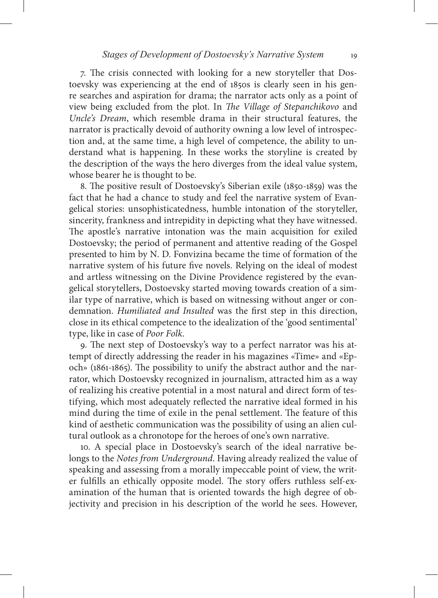7. The crisis connected with looking for a new storyteller that Dostoevsky was experiencing at the end of 1850s is clearly seen in his genre searches and aspiration for drama; the narrator acts only as a point of view being excluded from the plot. In *The Village of Stepanchikovo* and *Uncle's Dream*, which resemble drama in their structural features, the narrator is practically devoid of authority owning a low level of introspection and, at the same time, a high level of competence, the ability to understand what is happening. In these works the storyline is created by the description of the ways the hero diverges from the ideal value system, whose bearer he is thought to be.

8. The positive result of Dostoevsky's Siberian exile (1850-1859) was the fact that he had a chance to study and feel the narrative system of Evangelical stories: unsophisticatedness, humble intonation of the storyteller, sincerity, frankness and intrepidity in depicting what they have witnessed. The apostle's narrative intonation was the main acquisition for exiled Dostoevsky; the period of permanent and attentive reading of the Gospel presented to him by N. D. Fonvizina became the time of formation of the narrative system of his future five novels. Relying on the ideal of modest and artless witnessing on the Divine Providence registered by the evangelical storytellers, Dostoevsky started moving towards creation of a similar type of narrative, which is based on witnessing without anger or condemnation. *Humiliated and Insulted* was the first step in this direction, close in its ethical competence to the idealization of the 'good sentimental' type, like in case of *Poor Folk*.

9. The next step of Dostoevsky's way to a perfect narrator was his attempt of directly addressing the reader in his magazines «Time» and «Epoch» (1861-1865). The possibility to unify the abstract author and the narrator, which Dostoevsky recognized in journalism, attracted him as a way of realizing his creative potential in a most natural and direct form of testifying, which most adequately reflected the narrative ideal formed in his mind during the time of exile in the penal settlement. The feature of this kind of aesthetic communication was the possibility of using an alien cultural outlook as a chronotope for the heroes of one's own narrative.

10. A special place in Dostoevsky's search of the ideal narrative belongs to the *Notes from Underground*. Having already realized the value of speaking and assessing from a morally impeccable point of view, the writer fulfills an ethically opposite model. The story offers ruthless self-examination of the human that is oriented towards the high degree of objectivity and precision in his description of the world he sees. However,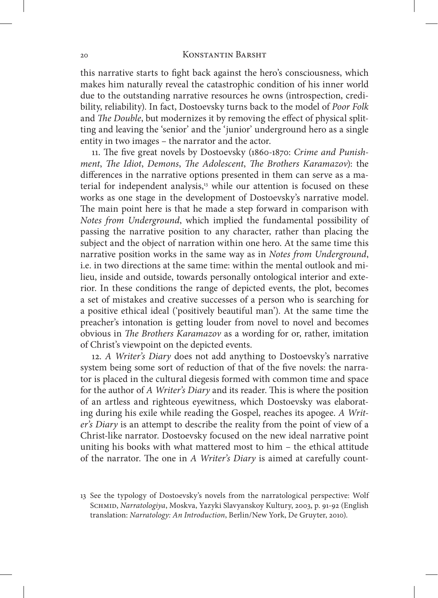#### 20 Konstantin Barsht

this narrative starts to fight back against the hero's consciousness, which makes him naturally reveal the catastrophic condition of his inner world due to the outstanding narrative resources he owns (introspection, credibility, reliability). In fact, Dostoevsky turns back to the model of *Poor Folk* and *The Double*, but modernizes it by removing the effect of physical splitting and leaving the 'senior' and the 'junior' underground hero as a single entity in two images – the narrator and the actor.

11. The five great novels by Dostoevsky (1860-1870: *Crime and Punishment*, *The Idiot*, *Demons*, *The Adolescent*, *The Brothers Karamazov*): the differences in the narrative options presented in them can serve as a material for independent analysis, $3$  while our attention is focused on these works as one stage in the development of Dostoevsky's narrative model. The main point here is that he made a step forward in comparison with *Notes from Underground*, which implied the fundamental possibility of passing the narrative position to any character, rather than placing the subject and the object of narration within one hero. At the same time this narrative position works in the same way as in *Notes from Underground*, i.e. in two directions at the same time: within the mental outlook and milieu, inside and outside, towards personally ontological interior and exterior. In these conditions the range of depicted events, the plot, becomes a set of mistakes and creative successes of a person who is searching for a positive ethical ideal ('positively beautiful man'). At the same time the preacher's intonation is getting louder from novel to novel and becomes obvious in *The Brothers Karamazov* as a wording for or, rather, imitation of Christ's viewpoint on the depicted events.

12. *A Writer's Diary* does not add anything to Dostoevsky's narrative system being some sort of reduction of that of the five novels: the narrator is placed in the cultural diegesis formed with common time and space for the author of *A Writer's Diary* and its reader. This is where the position of an artless and righteous eyewitness, which Dostoevsky was elaborating during his exile while reading the Gospel, reaches its apogee. *A Writer's Diary* is an attempt to describe the reality from the point of view of a Christ-like narrator. Dostoevsky focused on the new ideal narrative point uniting his books with what mattered most to him – the ethical attitude of the narrator. The one in *A Writer's Diary* is aimed at carefully count-

<sup>13</sup> See the typology of Dostoevsky's novels from the narratological perspective: Wolf Schmid, *Narratologiya*, Moskva, Yazyki Slavyanskoy Kultury, 2003, p. 91-92 (English translation: *Narratology: An Introduction*, Berlin/New York, De Gruyter, 2010).